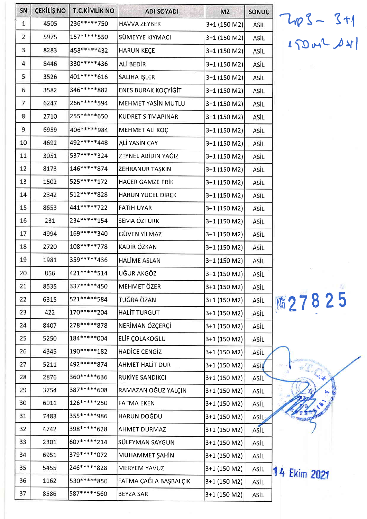| SN             | <b>ÇEKİLİŞ NO</b> | <b>T.C.KİMLİK NO</b> | <b>ADI SOYADI</b>        | M <sub>2</sub> | SONUÇ     |
|----------------|-------------------|----------------------|--------------------------|----------------|-----------|
| $\mathbf{1}$   | 4505              | 236 ***** * 750      | <b>HAVVA ZEYBEK</b>      | 3+1 (150 M2)   | ASİL      |
| $\overline{2}$ | 5975              | 157*****550          | <b>SÜMEYYE KIYMACI</b>   | 3+1 (150 M2)   | ASİL      |
| 3              | 8283              | 458*****432          | HARUN KEÇE               | 3+1 (150 M2)   | ASİL      |
| 4              | 8446              | 330 ***** 436        | ALİ BEDİR                | 3+1 (150 M2)   | ASİL      |
| 5              | 3526              | 401 ***** 616        | SALİHA İŞLER             | 3+1 (150 M2)   | ASİL      |
| 6              | 3582              | 346*****882          | ENES BURAK KOÇYİĞİT      | 3+1 (150 M2)   | ASİL      |
| 7              | 6247              | 266*****594          | MEHMET YASİN MUTLU       | 3+1 (150 M2)   | ASİL      |
| 8              | 2710              | 255*****650          | <b>KUDRET SITMAPINAR</b> | 3+1 (150 M2)   | ASİL      |
| 9              | 6959              | 406*****984          | MEHMET ALI KOÇ           | 3+1 (150 M2)   | ASİL      |
| 10             | 4692              | 492 ***** 448        | ALİ YASİN ÇAY            | 3+1 (150 M2)   | ASİL      |
| 11             | 3051              | 537*****324          | ZEYNEL ABİDİN YAĞIZ      | 3+1 (150 M2)   | ASİL      |
| 12             | 8173              | 146*****874          | ZEHRANUR TAŞKIN          | 3+1 (150 M2)   | ASİL      |
| 13             | 1502              | 525******172         | HACER GAMZE ERIK         | 3+1 (150 M2)   | ASİL      |
| 14             | 2342              | 512*****828          | HARUN YÜCEL DİREK        | 3+1 (150 M2)   | ASİL      |
| 15             | 8653              | 441 ***** 722        | FATIH UYAR               | 3+1 (150 M2)   | ASİL      |
| 16             | 231               | 234 ***** 154        | SEMA ÖZTÜRK              | 3+1 (150 M2)   | ASİL      |
| 17             | 4994              | 169*****340          | GÜVEN YILMAZ             | 3+1 (150 M2)   | ASİL      |
| 18             | 2720              | 108*****778          | KADİR ÖZKAN              | 3+1 (150 M2)   | ASİL      |
| 19             | 1981              | 359*****436          | <b>HALİME ASLAN</b>      | 3+1 (150 M2)   | ASİL      |
| 20             | 856               | 421 ***** 514        | UĞUR AKGÖZ               | 3+1 (150 M2)   | ASİL      |
| 21             | 8535              | 337*****450          | MEHMET ÖZER              | 3+1 (150 M2)   | ASİL      |
| 22             | 6315              | 521 ***** * 584      | TUĞBA ÖZAN               | 3+1 (150 M2)   | ASİL      |
| 23             | 422               | 170*****204          | <b>HALIT TURGUT</b>      | 3+1 (150 M2)   | ASİL      |
| 24             | 8407              | 278*****878          | NERİMAN ÖZÇERÇİ          | 3+1 (150 M2)   | ASİL      |
| 25             | 5250              | 184******004         | ELİF ÇOLAKOĞLU           | 3+1 (150 M2)   | ASİL      |
| 26             | 4345              | 190******182         | <b>HADICE CENGIZ</b>     | 3+1 (150 M2)   | ASİL      |
| 27             | 5211              | 492 ***** 874        | AHMET HALIT DUR          | 3+1 (150 M2)   | ASİL      |
| 28             | 2876              | 360*****636          | RUKİYE SANDIKCI          | 3+1 (150 M2)   | ASİL      |
| 29             | 3754              | 387*****608          | RAMAZAN OĞUZ YALÇIN      | 3+1 (150 M2)   | ASİL      |
| 30             | 6011              | 126*****250          | <b>FATMA EKEN</b>        | 3+1 (150 M2)   | ASİL      |
| 31             | 7483              | 355*****986          | HARUN DOĞDU              | 3+1 (150 M2)   | ASİL      |
| 32             | 4742              | 398*****628          | <b>AHMET DURMAZ</b>      | 3+1 (150 M2)   | ASİL      |
| 33             | 2301              | 607******214         | SÜLEYMAN SAYGUN          | 3+1 (150 M2)   | ASİL      |
| 34             | 6951              | 379*****072          | MUHAMMET ŞAHİN           | 3+1 (150 M2)   | ASİL      |
| 35             | 5455              | 246*****828          | MERYEM YAVUZ             | 3+1 (150 M2)   | ASİL<br>1 |
| 36             | 1162              | 530 ***** 850        | FATMA ÇAĞLA BAŞBALÇIK    | 3+1 (150 M2)   | ASİL      |
| 37             | 8586              | 587*****560          | <b>BEYZA SARI</b>        | 3+1 (150 M2)   | ASİL      |

 $7403 - 311$  $|KQL_MCf|$ 

师27825

 $+27$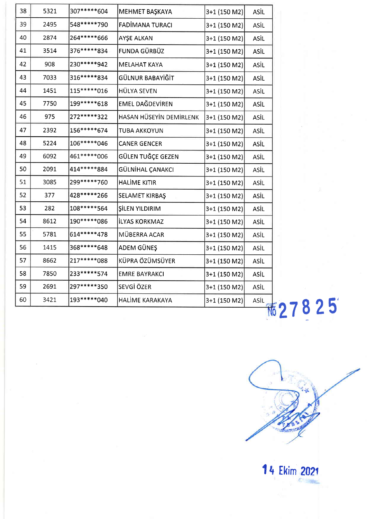| 38 | 5321 | 307*****604     | MEHMET BAŞKAYA          | $3+1$ (150 M2) | ASİL        |
|----|------|-----------------|-------------------------|----------------|-------------|
| 39 | 2495 | 548*****790     | FADİMANA TURACI         | $3+1$ (150 M2) | ASİL        |
| 40 | 2874 | 264 ***** 666   | AYŞE ALKAN              | $3+1$ (150 M2) | ASİL        |
| 41 | 3514 | 376*****834     | FUNDA GÜRBÜZ            | $3+1$ (150 M2) | ASİL        |
| 42 | 908  | 230 ***** 942   | MELAHAT KAYA            | $3+1$ (150 M2) | ASİL        |
| 43 | 7033 | 316*****834     | GÜLNUR BABAYİĞİT        | 3+1 (150 M2)   | ASİL        |
| 44 | 1451 | 115******016    | HÜLYA SEVEN             | 3+1 (150 M2)   | ASİL        |
| 45 | 7750 | 199*****618     | <b>EMEL DAĞDEVİREN</b>  | 3+1 (150 M2)   | ASİL        |
| 46 | 975  | 272 ***** 322   | HASAN HÜSEYİN DEMİRLENK | 3+1 (150 M2)   | ASİL        |
| 47 | 2392 | 156*****674     | <b>TUBA AKKOYUN</b>     | 3+1 (150 M2)   | ASİL        |
| 48 | 5224 | 106*****046     | <b>CANER GENCER</b>     | 3+1 (150 M2)   | ASİL        |
| 49 | 6092 | 461 ***** * 006 | GÜLEN TUĞÇE GEZEN       | 3+1 (150 M2)   | ASİL        |
| 50 | 2091 | 414*****884     | GÜLNİHAL ÇANAKCI        | 3+1 (150 M2)   | ASİL        |
| 51 | 3085 | 299 ***** 760   | <b>HALİME KITIR</b>     | $3+1$ (150 M2) | ASİL        |
| 52 | 377  | 428 ***** 266   | SELAMET KIRBAŞ          | 3+1 (150 M2)   | ASİL        |
| 53 | 282  | 108*****564     | ŞİLEN YILDIRIM          | 3+1 (150 M2)   | ASİL        |
| 54 | 8612 | 190******086    | İLYAS KORKMAZ           | 3+1 (150 M2)   | <b>ASIL</b> |
| 55 | 5781 | 614*****478     | MÜBERRA ACAR            | 3+1 (150 M2)   | ASİL        |
| 56 | 1415 | 368*****648     | ADEM GÜNEŞ              | 3+1 (150 M2)   | ASİL        |
| 57 | 8662 | 217******088    | KÜPRA ÖZÜMSÜYER         | $3+1$ (150 M2) | ASİL        |
| 58 | 7850 | 233 ***** 574   | <b>EMRE BAYRAKCI</b>    | $3+1$ (150 M2) | ASİL        |
| 59 | 2691 | 297*****350     | SEVGİ ÖZER              | 3+1 (150 M2)   | ASİL        |
| 60 | 3421 | 193******040    | HALİME KARAKAYA         | $3+1$ (150 M2) | ASİL        |
|    |      |                 |                         |                |             |

## 市27825

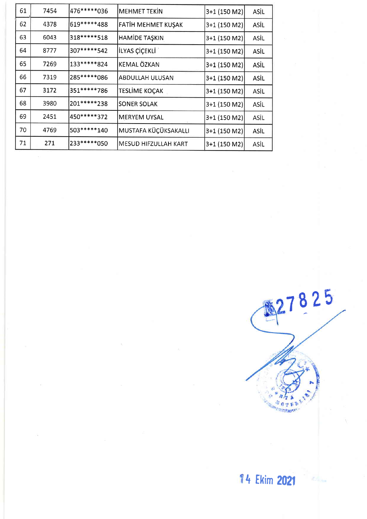| 61 | 7454 | 476*****036   | MEHMET TEKIN         | 3+1 (150 M2) | ASİL |
|----|------|---------------|----------------------|--------------|------|
| 62 | 4378 | 619 ***** 488 | FATİH MEHMET KUŞAK   | 3+1 (150 M2) | ASIL |
| 63 | 6043 | 318 ***** 518 | HAMİDE TAŞKIN        | 3+1 (150 M2) | ASİL |
| 64 | 8777 | 307*****542   | İLYAS ÇİÇEKLİ        | 3+1 (150 M2) | ASİL |
| 65 | 7269 | 133*****824   | KEMAL ÖZKAN          | 3+1 (150 M2) | ASIL |
| 66 | 7319 | 285*****086   | ABDULLAH ULUSAN      | 3+1 (150 M2) | ASİL |
| 67 | 3172 | 351 ***** 786 | TESLİME KOÇAK        | 3+1 (150 M2) | ASIL |
| 68 | 3980 | 201*****238   | SONER SOLAK          | 3+1 (150 M2) | ASİL |
| 69 | 2451 | 450*****372   | <b>MERYEM UYSAL</b>  | 3+1 (150 M2) | ASİL |
| 70 | 4769 | 503******140  | MUSTAFA KÜÇÜKSAKALLI | 3+1 (150 M2) | ASIL |
| 71 | 271  | 233*****050   | MESUD HIFZULLAH KART | 3+1 (150 M2) | ASİL |

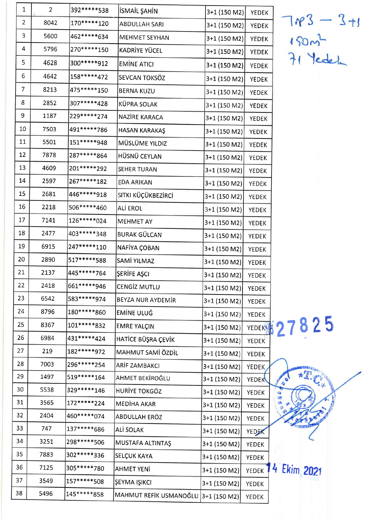| $\mathbf{1}$   | $\overline{2}$ | 392 ***** 538 | İSMAİL ŞAHİN           | 3+1 (150 M2)     | YEDEK          |                                       |
|----------------|----------------|---------------|------------------------|------------------|----------------|---------------------------------------|
| $\overline{2}$ | 8042           | 170*****120   | <b>ABDULLAH SARI</b>   | $3+1$ (150 M2)   | <b>YEDEK</b>   | 7183 -<br>150m <sup>2</sup><br>71 Yed |
| 3              | 5600           | 462*****634   | MEHMET SEYHAN          | $3+1$ (150 M2)   | YEDEK          |                                       |
| 4              | 5796           | 270******150  | KADRİYE YÜCEL          | $3+1$ (150 M2)   | YEDEK          |                                       |
| 5              | 4628           | 300*****912   | <b>EMINE ATICI</b>     | 3+1 (150 M2)     | YEDEK          |                                       |
| 6              | 4642           | 158*****472   | SEVCAN TOKSÖZ          | 3+1 (150 M2)     | YEDEK          |                                       |
| $\overline{7}$ | 8213           | 475******150  | <b>BERNA KUZU</b>      | 3+1 (150 M2)     | YEDEK          |                                       |
| 8              | 2852           | 307*****428   | KÜPRA SOLAK            | $3+1$ (150 M2)   | YEDEK          |                                       |
| 9              | 1187           | 229 ***** 274 | NAZÍRE KARACA          | 3+1 (150 M2)     | <b>YEDEK</b>   |                                       |
| 10             | 7503           | 491 ***** 786 | HASAN KARAKAŞ          | 3+1 (150 M2)     | <b>YEDEK</b>   |                                       |
| 11             | 5501           | 151*****948   | MÜSLÜME YILDIZ         | $3+1$ (150 M2)   | <b>YEDEK</b>   |                                       |
| 12             | 7878           | 287*****864   | HÜSNÜ CEYLAN           | $3+1$ (150 M2)   | YEDEK          |                                       |
| 13             | 4609           | 201******292  | <b>SEHER TURAN</b>     | $3+1$ (150 M2)   | <b>YEDEK</b>   |                                       |
| 14             | 2597           | 267*****182   | EDA ARIKAN             | 3+1 (150 M2)     | YEDEK          |                                       |
| 15             | 2681           | 446*****918   | SITKI KÜÇÜKBEZİRCİ     | $3+1$ (150 M2)   | YEDEK          |                                       |
| 16             | 2218           | 506*****460   | ALİ EROL               | 3+1 (150 M2)     | YEDEK          |                                       |
| 17             | 7141           | 126******024  | <b>MEHMET AY</b>       | 3+1 (150 M2)     | YEDEK          |                                       |
| 18             | 2477           | 403*****348   | BURAK GÜLCAN           | 3+1 (150 M2)     | YEDEK          |                                       |
| 19             | 6915           | 247*****110   | NAFİYA ÇOBAN           | $3+1$ (150 M2)   | YEDEK          |                                       |
| 20             | 2890           | 517*****588   | SAMİ YILMAZ            | $3+1$ (150 M2)   | <b>YEDEK</b>   |                                       |
| 21             | 2137           | 445*****764   | ŞERİFE AŞCI            | $3+1$ (150 M2)   | YEDEK          |                                       |
| 22             | 2418           | 661 ***** 946 | CENGIZ MUTLU           | 3+1 (150 M2)     | <b>YEDEK</b>   |                                       |
| 23             | 6542           | 583*****974   | BEYZA NUR AYDEMİR      | 3+1 (150 M2)     | YEDEK          |                                       |
| 24             | 8796           | 180*****860   | EMINE ULUĞ             | 3+1 (150 M2)     | <b>YEDEK</b>   |                                       |
| 25             | 8367           | 101******832  | <b>EMRE YALÇIN</b>     | 3+1 (150 M2)     | YEDEK <b>6</b> | 825                                   |
| 26             | 6984           | 431 ***** 424 | HATİCE BÜŞRA ÇEVİK     | 3+1 (150 M2)     | <b>YEDEK</b>   |                                       |
| 27             | 219            | 182*****972   | MAHMUT SAMİ ÖZDİL      | 3+1 (150 M2)     | <b>YEDEK</b>   |                                       |
| 28             | 7003           | 296*****254   | <b>ARİF ZAMBAKCI</b>   | 3+1 (150 M2)     | <b>YEDEK</b>   |                                       |
| 29             | 1497           | 519 ***** 164 | AHMET BEKİROĞLU        | 3+1 (150 M2)     | YEDEK          |                                       |
| 30             | 5538           | 329 ***** 146 | HURİYE TOKGÖZ          | 3+1 (150 M2)     | <b>YEDEK</b>   |                                       |
| 31             | 3565           | 172*****224   | <b>MEDIHA AKAR</b>     | 3+1 (150 M2)     | <b>YEDEK</b>   |                                       |
| 32             | 2404           | 460******074  | ABDULLAH ERÖZ          | 3+1 (150 M2)     | <b>YEDEK</b>   |                                       |
| 33             | 747            | 137*****686   | <b>ALİ SOLAK</b>       | 3+1 (150 M2)     | YEDEK          |                                       |
| 34             | 3251           | 298*****506   | MUSTAFA ALTINTAS       | $3+1$ (150 M2)   | <b>YEDEK</b>   |                                       |
| 35             | 7883           | 302 ***** 336 | <b>SELÇUK KAYA</b>     | 3+1 (150 M2)     | YEDEK          |                                       |
| 36             | 7125           | 305******780  | AHMET YENİ             | $ 3+1$ (150 M2)  | YEDEK          | 4 Ekim 2021                           |
| 37             | 3549           | 157*****508   | ŞEYMA IŞIKCI           | 3+1 (150 M2)     | YEDEK          |                                       |
| 38             | 5496           | 145******858  | MAHMUT REFİK USMANOĞLU | $ 3+1 $ (150 M2) | YEDEK          |                                       |
|                |                |               |                        |                  |                |                                       |

23 - 3 +1<br>On<sup>2</sup><br>Yedeh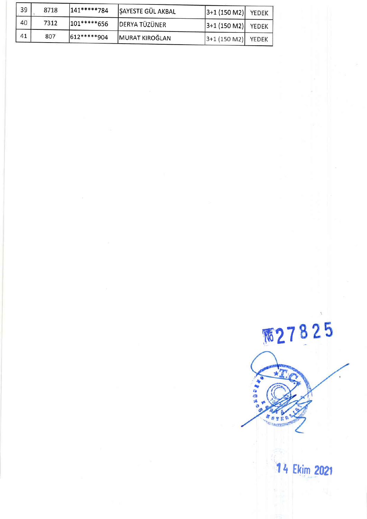| 39 | 8718 | 141*****784   | SAYESTE GÜL AKBAL     | $ 3+1(150 M2) $     | <b>YEDEK</b> |
|----|------|---------------|-----------------------|---------------------|--------------|
| 40 | 7312 | $1101****656$ | DERYA TÜZÜNER         | 3+1 (150 M2)  YEDEK |              |
| 41 | 807  | 1612*****904  | <b>MURAT KIROĞLAN</b> | $ 3+1$ (150 M2)     | YEDEK        |